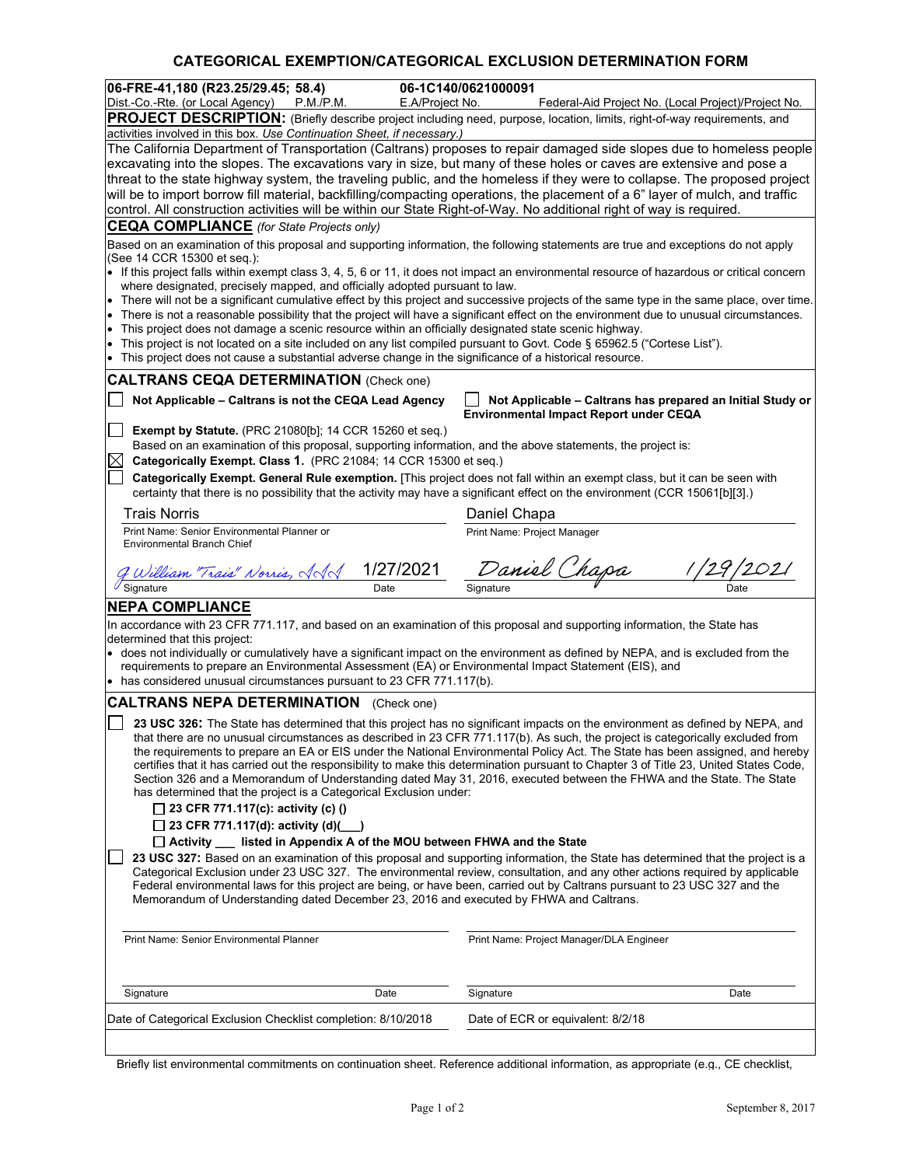# **CATEGORICAL EXEMPTION/CATEGORICAL EXCLUSION DETERMINATION FORM**

| 06-FRE-41,180 (R23.25/29.45; 58.4)                                                                                                                                                                                                                        |                 | 06-1C140/0621000091 |                                               |                                                            |
|-----------------------------------------------------------------------------------------------------------------------------------------------------------------------------------------------------------------------------------------------------------|-----------------|---------------------|-----------------------------------------------|------------------------------------------------------------|
| Dist.-Co.-Rte. (or Local Agency)<br>P.M.P.M.                                                                                                                                                                                                              | E.A/Project No. |                     |                                               | Federal-Aid Project No. (Local Project)/Project No.        |
| PROJECT DESCRIPTION: (Briefly describe project including need, purpose, location, limits, right-of-way requirements, and<br>activities involved in this box. Use Continuation Sheet, if necessary.)                                                       |                 |                     |                                               |                                                            |
| The California Department of Transportation (Caltrans) proposes to repair damaged side slopes due to homeless people                                                                                                                                      |                 |                     |                                               |                                                            |
| excavating into the slopes. The excavations vary in size, but many of these holes or caves are extensive and pose a                                                                                                                                       |                 |                     |                                               |                                                            |
| threat to the state highway system, the traveling public, and the homeless if they were to collapse. The proposed project                                                                                                                                 |                 |                     |                                               |                                                            |
| will be to import borrow fill material, backfilling/compacting operations, the placement of a 6" layer of mulch, and traffic                                                                                                                              |                 |                     |                                               |                                                            |
| control. All construction activities will be within our State Right-of-Way. No additional right of way is required.                                                                                                                                       |                 |                     |                                               |                                                            |
| <b>CEQA COMPLIANCE</b> (for State Projects only)                                                                                                                                                                                                          |                 |                     |                                               |                                                            |
| Based on an examination of this proposal and supporting information, the following statements are true and exceptions do not apply<br>(See 14 CCR 15300 et seg.):                                                                                         |                 |                     |                                               |                                                            |
| • If this project falls within exempt class 3, 4, 5, 6 or 11, it does not impact an environmental resource of hazardous or critical concern<br>where designated, precisely mapped, and officially adopted pursuant to law.                                |                 |                     |                                               |                                                            |
| There will not be a significant cumulative effect by this project and successive projects of the same type in the same place, over time.                                                                                                                  |                 |                     |                                               |                                                            |
| There is not a reasonable possibility that the project will have a significant effect on the environment due to unusual circumstances.<br>$\bullet$                                                                                                       |                 |                     |                                               |                                                            |
| This project does not damage a scenic resource within an officially designated state scenic highway.<br>٠                                                                                                                                                 |                 |                     |                                               |                                                            |
| This project is not located on a site included on any list compiled pursuant to Govt. Code § 65962.5 ("Cortese List").                                                                                                                                    |                 |                     |                                               |                                                            |
| • This project does not cause a substantial adverse change in the significance of a historical resource.                                                                                                                                                  |                 |                     |                                               |                                                            |
| <b>CALTRANS CEQA DETERMINATION (Check one)</b>                                                                                                                                                                                                            |                 |                     |                                               |                                                            |
| Not Applicable - Caltrans is not the CEQA Lead Agency                                                                                                                                                                                                     |                 |                     |                                               | Not Applicable - Caltrans has prepared an Initial Study or |
|                                                                                                                                                                                                                                                           |                 |                     | <b>Environmental Impact Report under CEQA</b> |                                                            |
| <b>Exempt by Statute.</b> (PRC 21080[b]; 14 CCR 15260 et seq.)                                                                                                                                                                                            |                 |                     |                                               |                                                            |
| Based on an examination of this proposal, supporting information, and the above statements, the project is:                                                                                                                                               |                 |                     |                                               |                                                            |
| $\times$<br>Categorically Exempt. Class 1. (PRC 21084; 14 CCR 15300 et seq.)                                                                                                                                                                              |                 |                     |                                               |                                                            |
| Categorically Exempt. General Rule exemption. [This project does not fall within an exempt class, but it can be seen with<br>certainty that there is no possibility that the activity may have a significant effect on the environment (CCR 15061[b][3].) |                 |                     |                                               |                                                            |
| <b>Trais Norris</b>                                                                                                                                                                                                                                       |                 | Daniel Chapa        |                                               |                                                            |
| Print Name: Senior Environmental Planner or                                                                                                                                                                                                               |                 |                     | Print Name: Project Manager                   |                                                            |
| <b>Environmental Branch Chief</b>                                                                                                                                                                                                                         |                 |                     |                                               |                                                            |
|                                                                                                                                                                                                                                                           | 1/27/2021       |                     | Daniel Chapa                                  |                                                            |
| William "Trais" Norris, ASS                                                                                                                                                                                                                               |                 |                     |                                               |                                                            |
| Signature                                                                                                                                                                                                                                                 | Date            | Signature           |                                               |                                                            |
| <b>NEPA COMPLIANCE</b><br>In accordance with 23 CFR 771.117, and based on an examination of this proposal and supporting information, the State has                                                                                                       |                 |                     |                                               |                                                            |
| determined that this project:                                                                                                                                                                                                                             |                 |                     |                                               |                                                            |
| • does not individually or cumulatively have a significant impact on the environment as defined by NEPA, and is excluded from the                                                                                                                         |                 |                     |                                               |                                                            |
| requirements to prepare an Environmental Assessment (EA) or Environmental Impact Statement (EIS), and                                                                                                                                                     |                 |                     |                                               |                                                            |
| • has considered unusual circumstances pursuant to 23 CFR 771.117(b).                                                                                                                                                                                     |                 |                     |                                               |                                                            |
| <b>CALTRANS NEPA DETERMINATION</b> (Check one)                                                                                                                                                                                                            |                 |                     |                                               |                                                            |
| 23 USC 326: The State has determined that this project has no significant impacts on the environment as defined by NEPA, and                                                                                                                              |                 |                     |                                               |                                                            |
| that there are no unusual circumstances as described in 23 CFR 771.117(b). As such, the project is categorically excluded from                                                                                                                            |                 |                     |                                               |                                                            |
| the requirements to prepare an EA or EIS under the National Environmental Policy Act. The State has been assigned, and hereby                                                                                                                             |                 |                     |                                               |                                                            |
| certifies that it has carried out the responsibility to make this determination pursuant to Chapter 3 of Title 23, United States Code,                                                                                                                    |                 |                     |                                               |                                                            |
| Section 326 and a Memorandum of Understanding dated May 31, 2016, executed between the FHWA and the State. The State                                                                                                                                      |                 |                     |                                               |                                                            |
| has determined that the project is a Categorical Exclusion under:                                                                                                                                                                                         |                 |                     |                                               |                                                            |
| □ 23 CFR 771.117(c): activity (c) ()                                                                                                                                                                                                                      |                 |                     |                                               |                                                            |
| □ 23 CFR 771.117(d): activity (d)( $\Box$ )<br>$\Box$ Activity $\Box$ listed in Appendix A of the MOU between FHWA and the State                                                                                                                          |                 |                     |                                               |                                                            |
| 23 USC 327: Based on an examination of this proposal and supporting information, the State has determined that the project is a                                                                                                                           |                 |                     |                                               |                                                            |
| Categorical Exclusion under 23 USC 327. The environmental review, consultation, and any other actions required by applicable                                                                                                                              |                 |                     |                                               |                                                            |
| Federal environmental laws for this project are being, or have been, carried out by Caltrans pursuant to 23 USC 327 and the                                                                                                                               |                 |                     |                                               |                                                            |
| Memorandum of Understanding dated December 23, 2016 and executed by FHWA and Caltrans.                                                                                                                                                                    |                 |                     |                                               |                                                            |
|                                                                                                                                                                                                                                                           |                 |                     |                                               |                                                            |
| Print Name: Senior Environmental Planner                                                                                                                                                                                                                  |                 |                     | Print Name: Project Manager/DLA Engineer      |                                                            |
|                                                                                                                                                                                                                                                           |                 |                     |                                               |                                                            |
| Signature                                                                                                                                                                                                                                                 | Date            | Signature           |                                               | Date                                                       |
|                                                                                                                                                                                                                                                           |                 |                     |                                               |                                                            |
| Date of Categorical Exclusion Checklist completion: 8/10/2018<br>Date of ECR or equivalent: 8/2/18                                                                                                                                                        |                 |                     |                                               |                                                            |
|                                                                                                                                                                                                                                                           |                 |                     |                                               |                                                            |

Briefly list environmental commitments on continuation sheet. Reference additional information, as appropriate (e.g., CE checklist,